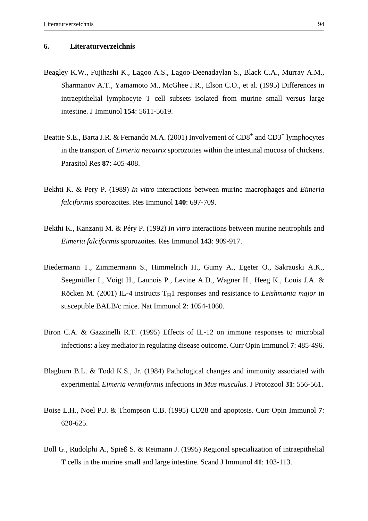## **6. Literaturverzeichnis**

- Beagley K.W., Fujihashi K., Lagoo A.S., Lagoo-Deenadaylan S., Black C.A., Murray A.M., Sharmanov A.T., Yamamoto M., McGhee J.R., Elson C.O., et al. (1995) Differences in intraepithelial lymphocyte T cell subsets isolated from murine small versus large intestine. J Immunol **154**: 5611-5619.
- Beattie S.E., Barta J.R. & Fernando M.A. (2001) Involvement of  $CD8<sup>+</sup>$  and  $CD3<sup>+</sup>$  lymphocytes in the transport of *Eimeria necatrix* sporozoites within the intestinal mucosa of chickens. Parasitol Res **87**: 405-408.
- Bekhti K. & Pery P. (1989) *In vitro* interactions between murine macrophages and *Eimeria falciformis* sporozoites. Res Immunol **140**: 697-709.
- Bekthi K., Kanzanji M. & Péry P. (1992) *In vitro* interactions between murine neutrophils and *Eimeria falciformis* sporozoites. Res Immunol **143**: 909-917.
- Biedermann T., Zimmermann S., Himmelrich H., Gumy A., Egeter O., Sakrauski A.K., Seegmüller I., Voigt H., Launois P., Levine A.D., Wagner H., Heeg K., Louis J.A. & Röcken M. (2001) IL-4 instructs  $T_H1$  responses and resistance to *Leishmania major* in susceptible BALB/c mice. Nat Immunol **2**: 1054-1060.
- Biron C.A. & Gazzinelli R.T. (1995) Effects of IL-12 on immune responses to microbial infections: a key mediator in regulating disease outcome. Curr Opin Immunol **7**: 485-496.
- Blagburn B.L. & Todd K.S., Jr. (1984) Pathological changes and immunity associated with experimental *Eimeria vermiformis* infections in *Mus musculus*. J Protozool **31**: 556-561.
- Boise L.H., Noel P.J. & Thompson C.B. (1995) CD28 and apoptosis. Curr Opin Immunol **7**: 620-625.
- Boll G., Rudolphi A., Spieß S. & Reimann J. (1995) Regional specialization of intraepithelial T cells in the murine small and large intestine. Scand J Immunol **41**: 103-113.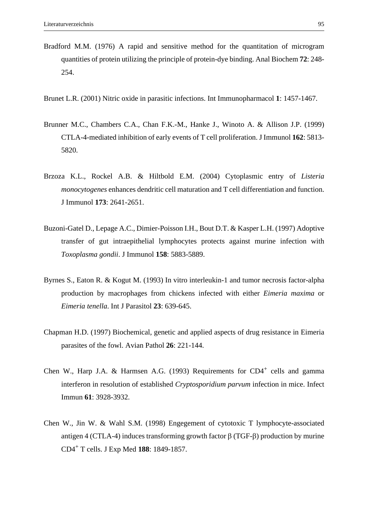- Bradford M.M. (1976) A rapid and sensitive method for the quantitation of microgram quantities of protein utilizing the principle of protein-dye binding. Anal Biochem **72**: 248- 254.
- Brunet L.R. (2001) Nitric oxide in parasitic infections. Int Immunopharmacol **1**: 1457-1467.
- Brunner M.C., Chambers C.A., Chan F.K.-M., Hanke J., Winoto A. & Allison J.P. (1999) CTLA-4-mediated inhibition of early events of T cell proliferation. J Immunol **162**: 5813- 5820.
- Brzoza K.L., Rockel A.B. & Hiltbold E.M. (2004) Cytoplasmic entry of *Listeria monocytogenes* enhances dendritic cell maturation and T cell differentiation and function. J Immunol **173**: 2641-2651.
- Buzoni-Gatel D., Lepage A.C., Dimier-Poisson I.H., Bout D.T. & Kasper L.H. (1997) Adoptive transfer of gut intraepithelial lymphocytes protects against murine infection with *Toxoplasma gondii*. J Immunol **158**: 5883-5889.
- Byrnes S., Eaton R. & Kogut M. (1993) In vitro interleukin-1 and tumor necrosis factor-alpha production by macrophages from chickens infected with either *Eimeria maxima* or *Eimeria tenella*. Int J Parasitol **23**: 639-645.
- Chapman H.D. (1997) Biochemical, genetic and applied aspects of drug resistance in Eimeria parasites of the fowl. Avian Pathol **26**: 221-144.
- Chen W., Harp J.A. & Harmsen A.G. (1993) Requirements for  $CD4^+$  cells and gamma interferon in resolution of established *Cryptosporidium parvum* infection in mice. Infect Immun **61**: 3928-3932.
- Chen W., Jin W. & Wahl S.M. (1998) Engegement of cytotoxic T lymphocyte-associated antigen 4 (CTLA-4) induces transforming growth factor β (TGF-β) production by murine CD4+ T cells. J Exp Med **188**: 1849-1857.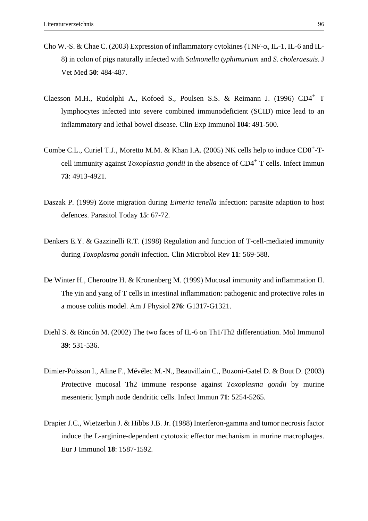- Cho W.-S. & Chae C. (2003) Expression of inflammatory cytokines (TNF-α, IL-1, IL-6 and IL-8) in colon of pigs naturally infected with *Salmonella typhimurium* and *S. choleraesuis*. J Vet Med **50**: 484-487.
- Claesson M.H., Rudolphi A., Kofoed S., Poulsen S.S. & Reimann J. (1996) CD4+ T lymphocytes infected into severe combined immunodeficient (SCID) mice lead to an inflammatory and lethal bowel disease. Clin Exp Immunol **104**: 491-500.
- Combe C.L., Curiel T.J., Moretto M.M. & Khan I.A. (2005) NK cells help to induce CD8<sup>+</sup>-Tcell immunity against *Toxoplasma gondii* in the absence of CD4+ T cells. Infect Immun **73**: 4913-4921.
- Daszak P. (1999) Zoite migration during *Eimeria tenella* infection: parasite adaption to host defences. Parasitol Today **15**: 67-72.
- Denkers E.Y. & Gazzinelli R.T. (1998) Regulation and function of T-cell-mediated immunity during *Toxoplasma gondii* infection. Clin Microbiol Rev **11**: 569-588.
- De Winter H., Cheroutre H. & Kronenberg M. (1999) Mucosal immunity and inflammation II. The yin and yang of T cells in intestinal inflammation: pathogenic and protective roles in a mouse colitis model. Am J Physiol **276**: G1317-G1321.
- Diehl S. & Rincón M. (2002) The two faces of IL-6 on Th1/Th2 differentiation. Mol Immunol **39**: 531-536.
- Dimier-Poisson I., Aline F., Mévélec M.-N., Beauvillain C., Buzoni-Gatel D. & Bout D. (2003) Protective mucosal Th2 immune response against *Toxoplasma gondii* by murine mesenteric lymph node dendritic cells. Infect Immun **71**: 5254-5265.
- Drapier J.C., Wietzerbin J. & Hibbs J.B. Jr. (1988) Interferon-gamma and tumor necrosis factor induce the L-arginine-dependent cytotoxic effector mechanism in murine macrophages. Eur J Immunol **18**: 1587-1592.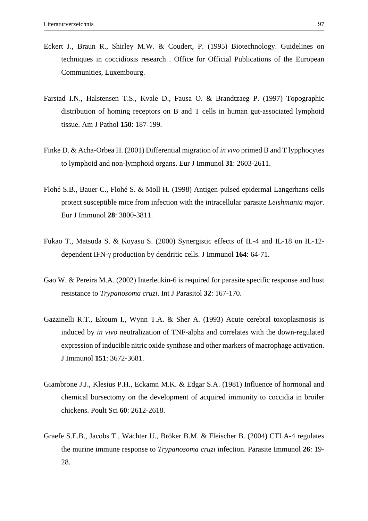- Eckert J., Braun R., Shirley M.W. & Coudert, P. (1995) Biotechnology. Guidelines on techniques in coccidiosis research . Office for Official Publications of the European Communities, Luxembourg.
- Farstad I.N., Halstensen T.S., Kvale D., Fausa O. & Brandtzaeg P. (1997) Topographic distribution of homing receptors on B and T cells in human gut-associated lymphoid tissue. Am J Pathol **150**: 187-199.
- Finke D. & Acha-Orbea H. (2001) Differential migration of *in vivo* primed B and T lypphocytes to lymphoid and non-lymphoid organs. Eur J Immunol **31**: 2603-2611.
- Flohé S.B., Bauer C., Flohé S. & Moll H. (1998) Antigen-pulsed epidermal Langerhans cells protect susceptible mice from infection with the intracellular parasite *Leishmania major*. Eur J Immunol **28**: 3800-3811.
- Fukao T., Matsuda S. & Koyasu S. (2000) Synergistic effects of IL-4 and IL-18 on IL-12 dependent IFN-γ production by dendritic cells. J Immunol **164**: 64-71.
- Gao W. & Pereira M.A. (2002) Interleukin-6 is required for parasite specific response and host resistance to *Trypanosoma cruzi*. Int J Parasitol **32**: 167-170.
- Gazzinelli R.T., Eltoum I., Wynn T.A. & Sher A. (1993) Acute cerebral toxoplasmosis is induced by *in vivo* neutralization of TNF-alpha and correlates with the down-regulated expression of inducible nitric oxide synthase and other markers of macrophage activation. J Immunol **151**: 3672-3681.
- Giambrone J.J., Klesius P.H., Eckamn M.K. & Edgar S.A. (1981) Influence of hormonal and chemical bursectomy on the development of acquired immunity to coccidia in broiler chickens. Poult Sci **60**: 2612-2618.
- Graefe S.E.B., Jacobs T., Wächter U., Bröker B.M. & Fleischer B. (2004) CTLA-4 regulates the murine immune response to *Trypanosoma cruzi* infection. Parasite Immunol **26**: 19- 28.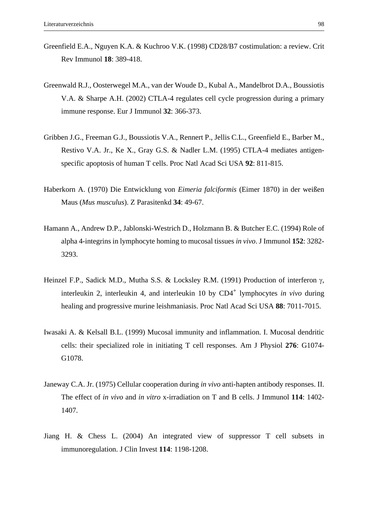- Greenfield E.A., Nguyen K.A. & Kuchroo V.K. (1998) CD28/B7 costimulation: a review. Crit Rev Immunol **18**: 389-418.
- Greenwald R.J., Oosterwegel M.A., van der Woude D., Kubal A., Mandelbrot D.A., Boussiotis V.A. & Sharpe A.H. (2002) CTLA-4 regulates cell cycle progression during a primary immune response. Eur J Immunol **32**: 366-373.
- Gribben J.G., Freeman G.J., Boussiotis V.A., Rennert P., Jellis C.L., Greenfield E., Barber M., Restivo V.A. Jr., Ke X., Gray G.S. & Nadler L.M. (1995) CTLA-4 mediates antigenspecific apoptosis of human T cells. Proc Natl Acad Sci USA **92**: 811-815.
- Haberkorn A. (1970) Die Entwicklung von *Eimeria falciformis* (Eimer 1870) in der weißen Maus (*Mus musculus*). Z Parasitenkd **34**: 49-67.
- Hamann A., Andrew D.P., Jablonski-Westrich D., Holzmann B. & Butcher E.C. (1994) Role of alpha 4-integrins in lymphocyte homing to mucosal tissues *in vivo*. J Immunol **152**: 3282- 3293.
- Heinzel F.P., Sadick M.D., Mutha S.S. & Locksley R.M. (1991) Production of interferon γ, interleukin 2, interleukin 4, and interleukin 10 by CD4<sup>+</sup> lymphocytes *in vivo* during healing and progressive murine leishmaniasis. Proc Natl Acad Sci USA **88**: 7011-7015.
- Iwasaki A. & Kelsall B.L. (1999) Mucosal immunity and inflammation. I. Mucosal dendritic cells: their specialized role in initiating T cell responses. Am J Physiol **276**: G1074- G1078.
- Janeway C.A. Jr. (1975) Cellular cooperation during *in vivo* anti-hapten antibody responses. II. The effect of *in vivo* and *in vitro* x-irradiation on T and B cells. J Immunol **114**: 1402- 1407.
- Jiang H. & Chess L. (2004) An integrated view of suppressor T cell subsets in immunoregulation. J Clin Invest **114**: 1198-1208.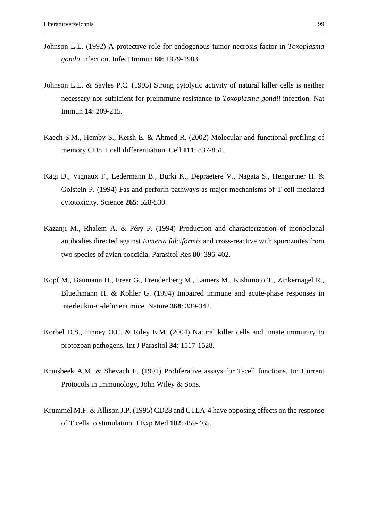- Johnson L.L. (1992) A protective role for endogenous tumor necrosis factor in *Toxoplasma gondii* infection. Infect Immun **60**: 1979-1983.
- Johnson L.L. & Sayles P.C. (1995) Strong cytolytic activity of natural killer cells is neither necessary nor sufficient for preimmune resistance to *Toxoplasma gondii* infection. Nat Immun **14**: 209-215.
- Kaech S.M., Hemby S., Kersh E. & Ahmed R. (2002) Molecular and functional profiling of memory CD8 T cell differentiation. Cell **111**: 837-851.
- Kägi D., Vignaux F., Ledermann B., Burki K., Depraetere V., Nagata S., Hengartner H. & Golstein P. (1994) Fas and perforin pathways as major mechanisms of T cell-mediated cytotoxicity. Science **265**: 528-530.
- Kazanji M., Rhalem A. & Péry P. (1994) Production and characterization of monoclonal antibodies directed against *Eimeria falciformis* and cross-reactive with sporozoites from two species of avian coccidia. Parasitol Res **80**: 396-402.
- Kopf M., Baumann H., Freer G., Freudenberg M., Lamers M., Kishimoto T., Zinkernagel R., Bluethmann H. & Kohler G. (1994) Impaired immune and acute-phase responses in interleukin-6-deficient mice. Nature **368**: 339-342.
- Korbel D.S., Finney O.C. & Riley E.M. (2004) Natural killer cells and innate immunity to protozoan pathogens. Int J Parasitol **34**: 1517-1528.
- Kruisbeek A.M. & Shevach E. (1991) Proliferative assays for T-cell functions. In: Current Protocols in Immunology, John Wiley & Sons.
- Krummel M.F. & Allison J.P. (1995) CD28 and CTLA-4 have opposing effects on the response of T cells to stimulation. J Exp Med **182**: 459-465.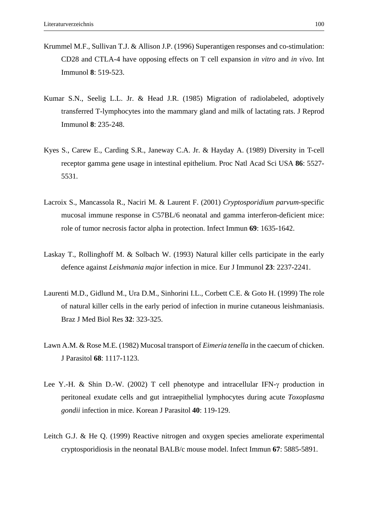- Krummel M.F., Sullivan T.J. & Allison J.P. (1996) Superantigen responses and co-stimulation: CD28 and CTLA-4 have opposing effects on T cell expansion *in vitro* and *in vivo*. Int Immunol **8**: 519-523.
- Kumar S.N., Seelig L.L. Jr. & Head J.R. (1985) Migration of radiolabeled, adoptively transferred T-lymphocytes into the mammary gland and milk of lactating rats. J Reprod Immunol **8**: 235-248.
- Kyes S., Carew E., Carding S.R., Janeway C.A. Jr. & Hayday A. (1989) Diversity in T-cell receptor gamma gene usage in intestinal epithelium. Proc Natl Acad Sci USA **86**: 5527- 5531.
- Lacroix S., Mancassola R., Naciri M. & Laurent F. (2001) *Cryptosporidium parvum*-specific mucosal immune response in C57BL/6 neonatal and gamma interferon-deficient mice: role of tumor necrosis factor alpha in protection. Infect Immun **69**: 1635-1642.
- Laskay T., Rollinghoff M. & Solbach W. (1993) Natural killer cells participate in the early defence against *Leishmania major* infection in mice. Eur J Immunol **23**: 2237-2241.
- Laurenti M.D., Gidlund M., Ura D.M., Sinhorini I.L., Corbett C.E. & Goto H. (1999) The role of natural killer cells in the early period of infection in murine cutaneous leishmaniasis. Braz J Med Biol Res **32**: 323-325.
- Lawn A.M. & Rose M.E. (1982) Mucosal transport of *Eimeria tenella* in the caecum of chicken. J Parasitol **68**: 1117-1123.
- Lee Y.-H. & Shin D.-W. (2002) T cell phenotype and intracellular IFN-γ production in peritoneal exudate cells and gut intraepithelial lymphocytes during acute *Toxoplasma gondii* infection in mice. Korean J Parasitol **40**: 119-129.
- Leitch G.J. & He Q. (1999) Reactive nitrogen and oxygen species ameliorate experimental cryptosporidiosis in the neonatal BALB/c mouse model. Infect Immun **67**: 5885-5891.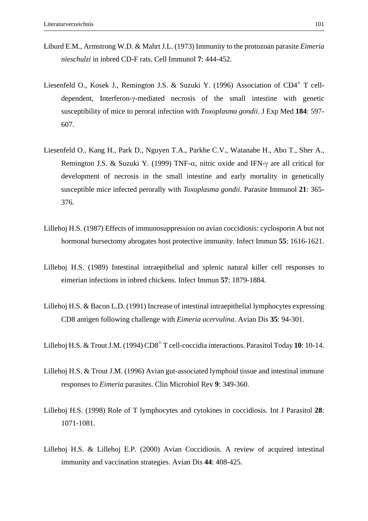- Liburd E.M., Armstrong W.D. & Mahrt J.L. (1973) Immunity to the protozoan parasite *Eimeria nieschulzi* in inbred CD-F rats. Cell Immunol **7**: 444-452.
- Liesenfeld O., Kosek J., Remington J.S. & Suzuki Y. (1996) Association of CD4+ T celldependent, Interferon-γ-mediated necrosis of the small intestine with genetic susceptibility of mice to peroral infection with *Toxoplasma gondii*. J Exp Med **184**: 597- 607.
- Liesenfeld O., Kang H., Park D., Nguyen T.A., Parkhe C.V., Watanabe H., Abo T., Sher A., Remington J.S. & Suzuki Y. (1999) TNF- $\alpha$ , nitric oxide and IFN-γ are all critical for development of necrosis in the small intestine and early mortality in genetically susceptible mice infected perorally with *Toxoplasma gondii*. Parasite Immunol **21**: 365- 376.
- Lillehoj H.S. (1987) Effects of immunosuppression on avian coccidiosis: cyclosporin A but not hormonal bursectomy abrogates host protective immunity. Infect Immun **55**: 1616-1621.
- Lillehoj H.S. (1989) Intestinal intraepithelial and splenic natural killer cell responses to eimerian infections in inbred chickens. Infect Immun **57**: 1879-1884.
- Lillehoj H.S. & Bacon L.D. (1991) Increase of intestinal intraepithelial lymphocytes expressing CD8 antigen following challenge with *Eimeria acervulina*. Avian Dis **35**: 94-301.
- Lillehoj H.S. & Trout J.M. (1994) CD8+ T cell-coccidia interactions. Parasitol Today **10**: 10-14.
- Lillehoj H.S. & Trout J.M. (1996) Avian gut-associated lymphoid tissue and intestinal immune responses to *Eimeria* parasites. Clin Microbiol Rev **9**: 349-360.
- Lillehoj H.S. (1998) Role of T lymphocytes and cytokines in coccidiosis. Int J Parasitol **28**: 1071-1081.
- Lillehoj H.S. & Lillehoj E.P. (2000) Avian Coccidiosis. A review of acquired intestinal immunity and vaccination strategies. Avian Dis **44**: 408-425.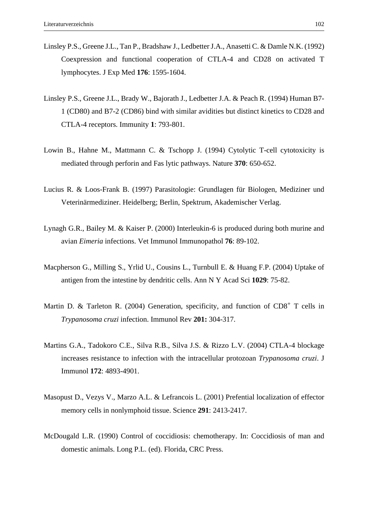- Linsley P.S., Greene J.L., Tan P., Bradshaw J., Ledbetter J.A., Anasetti C. & Damle N.K. (1992) Coexpression and functional cooperation of CTLA-4 and CD28 on activated T lymphocytes. J Exp Med **176**: 1595-1604.
- Linsley P.S., Greene J.L., Brady W., Bajorath J., Ledbetter J.A. & Peach R. (1994) Human B7- 1 (CD80) and B7-2 (CD86) bind with similar avidities but distinct kinetics to CD28 and CTLA-4 receptors. Immunity **1**: 793-801.
- Lowin B., Hahne M., Mattmann C. & Tschopp J. (1994) Cytolytic T-cell cytotoxicity is mediated through perforin and Fas lytic pathways. Nature **370**: 650-652.
- Lucius R. & Loos-Frank B. (1997) Parasitologie: Grundlagen für Biologen, Mediziner und Veterinärmediziner. Heidelberg; Berlin, Spektrum, Akademischer Verlag.
- Lynagh G.R., Bailey M. & Kaiser P. (2000) Interleukin-6 is produced during both murine and avian *Eimeria* infections. Vet Immunol Immunopathol **76**: 89-102.
- Macpherson G., Milling S., Yrlid U., Cousins L., Turnbull E. & Huang F.P. (2004) Uptake of antigen from the intestine by dendritic cells. Ann N Y Acad Sci **1029**: 75-82.
- Martin D. & Tarleton R. (2004) Generation, specificity, and function of  $CD8<sup>+</sup>$  T cells in *Trypanosoma cruzi* infection. Immunol Rev **201:** 304-317.
- Martins G.A., Tadokoro C.E., Silva R.B., Silva J.S. & Rizzo L.V. (2004) CTLA-4 blockage increases resistance to infection with the intracellular protozoan *Trypanosoma cruzi*. J Immunol **172**: 4893-4901.
- Masopust D., Vezys V., Marzo A.L. & Lefrancois L. (2001) Prefential localization of effector memory cells in nonlymphoid tissue. Science **291**: 2413-2417.
- McDougald L.R. (1990) Control of coccidiosis: chemotherapy. In: Coccidiosis of man and domestic animals. Long P.L. (ed). Florida, CRC Press.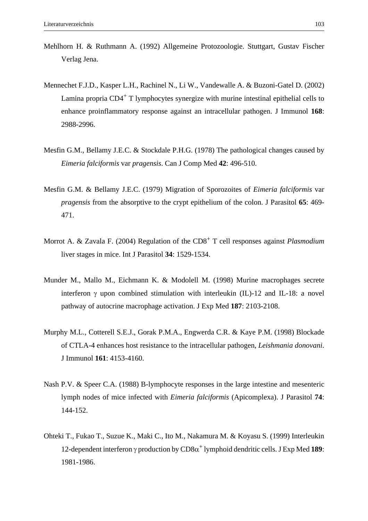- Mehlhorn H. & Ruthmann A. (1992) Allgemeine Protozoologie. Stuttgart, Gustav Fischer Verlag Jena.
- Mennechet F.J.D., Kasper L.H., Rachinel N., Li W., Vandewalle A. & Buzoni-Gatel D. (2002) Lamina propria  $CD4^+$  T lymphocytes synergize with murine intestinal epithelial cells to enhance proinflammatory response against an intracellular pathogen. J Immunol **168**: 2988-2996.
- Mesfin G.M., Bellamy J.E.C. & Stockdale P.H.G. (1978) The pathological changes caused by *Eimeria falciformis* var *pragensis*. Can J Comp Med **42**: 496-510.
- Mesfin G.M. & Bellamy J.E.C. (1979) Migration of Sporozoites of *Eimeria falciformis* var *pragensis* from the absorptive to the crypt epithelium of the colon. J Parasitol **65**: 469- 471.
- Morrot A. & Zavala F. (2004) Regulation of the CD8+ T cell responses against *Plasmodium* liver stages in mice. Int J Parasitol **34**: 1529-1534.
- Munder M., Mallo M., Eichmann K. & Modolell M. (1998) Murine macrophages secrete interferon  $\gamma$  upon combined stimulation with interleukin (IL)-12 and IL-18: a novel pathway of autocrine macrophage activation. J Exp Med **187**: 2103-2108.
- Murphy M.L., Cotterell S.E.J., Gorak P.M.A., Engwerda C.R. & Kaye P.M. (1998) Blockade of CTLA-4 enhances host resistance to the intracellular pathogen, *Leishmania donovani*. J Immunol **161**: 4153-4160.
- Nash P.V. & Speer C.A. (1988) B-lymphocyte responses in the large intestine and mesenteric lymph nodes of mice infected with *Eimeria falciformis* (Apicomplexa). J Parasitol **74**: 144-152.
- Ohteki T., Fukao T., Suzue K., Maki C., Ito M., Nakamura M. & Koyasu S. (1999) Interleukin 12-dependent interferon γ production by CD8α+ lymphoid dendritic cells. J Exp Med **189**: 1981-1986.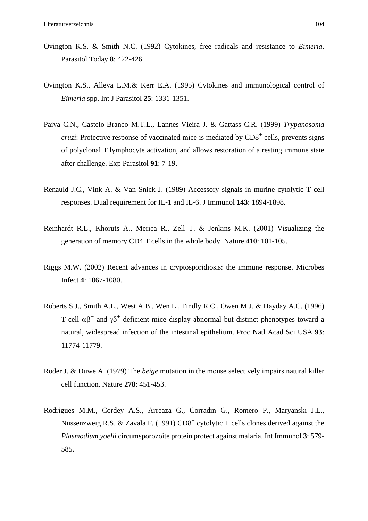- Ovington K.S. & Smith N.C. (1992) Cytokines, free radicals and resistance to *Eimeria*. Parasitol Today **8**: 422-426.
- Ovington K.S., Alleva L.M.& Kerr E.A. (1995) Cytokines and immunological control of *Eimeria* spp. Int J Parasitol **25**: 1331-1351.
- Paiva C.N., Castelo-Branco M.T.L., Lannes-Vieira J. & Gattass C.R. (1999) *Trypanosoma cruzi*: Protective response of vaccinated mice is mediated by CD8<sup>+</sup> cells, prevents signs of polyclonal T lymphocyte activation, and allows restoration of a resting immune state after challenge. Exp Parasitol **91**: 7-19.
- Renauld J.C., Vink A. & Van Snick J. (1989) Accessory signals in murine cytolytic T cell responses. Dual requirement for IL-1 and IL-6. J Immunol **143**: 1894-1898.
- Reinhardt R.L., Khoruts A., Merica R., Zell T. & Jenkins M.K. (2001) Visualizing the generation of memory CD4 T cells in the whole body. Nature **410**: 101-105.
- Riggs M.W. (2002) Recent advances in cryptosporidiosis: the immune response. Microbes Infect **4**: 1067-1080.
- Roberts S.J., Smith A.L., West A.B., Wen L., Findly R.C., Owen M.J. & Hayday A.C. (1996) T-cell  $\alpha\beta^+$  and  $\gamma\delta^+$  deficient mice display abnormal but distinct phenotypes toward a natural, widespread infection of the intestinal epithelium. Proc Natl Acad Sci USA **93**: 11774-11779.
- Roder J. & Duwe A. (1979) The *beige* mutation in the mouse selectively impairs natural killer cell function. Nature **278**: 451-453.
- Rodrigues M.M., Cordey A.S., Arreaza G., Corradin G., Romero P., Maryanski J.L., Nussenzweig R.S. & Zavala F. (1991)  $CD8<sup>+</sup>$  cytolytic T cells clones derived against the *Plasmodium yoelii* circumsporozoite protein protect against malaria. Int Immunol **3**: 579- 585.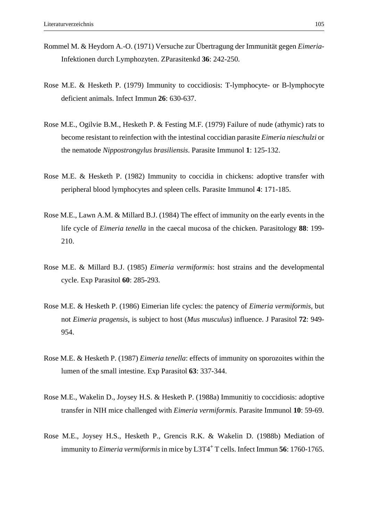- Rommel M. & Heydorn A.-O. (1971) Versuche zur Übertragung der Immunität gegen *Eimeria*-Infektionen durch Lymphozyten. ZParasitenkd **36**: 242-250.
- Rose M.E. & Hesketh P. (1979) Immunity to coccidiosis: T-lymphocyte- or B-lymphocyte deficient animals. Infect Immun **26**: 630-637.
- Rose M.E., Ogilvie B.M., Hesketh P. & Festing M.F. (1979) Failure of nude (athymic) rats to become resistant to reinfection with the intestinal coccidian parasite *Eimeria nieschulzi* or the nematode *Nippostrongylus brasiliensis*. Parasite Immunol **1**: 125-132.
- Rose M.E. & Hesketh P. (1982) Immunity to coccidia in chickens: adoptive transfer with peripheral blood lymphocytes and spleen cells. Parasite Immunol **4**: 171-185.
- Rose M.E., Lawn A.M. & Millard B.J. (1984) The effect of immunity on the early events in the life cycle of *Eimeria tenella* in the caecal mucosa of the chicken. Parasitology **88**: 199- 210.
- Rose M.E. & Millard B.J. (1985) *Eimeria vermiformis*: host strains and the developmental cycle. Exp Parasitol **60**: 285-293.
- Rose M.E. & Hesketh P. (1986) Eimerian life cycles: the patency of *Eimeria vermiformis*, but not *Eimeria pragensis*, is subject to host (*Mus musculus*) influence. J Parasitol **72**: 949- 954.
- Rose M.E. & Hesketh P. (1987) *Eimeria tenella*: effects of immunity on sporozoites within the lumen of the small intestine. Exp Parasitol **63**: 337-344.
- Rose M.E., Wakelin D., Joysey H.S. & Hesketh P. (1988a) Immunitiy to coccidiosis: adoptive transfer in NIH mice challenged with *Eimeria vermiformis*. Parasite Immunol **10**: 59-69.
- Rose M.E., Joysey H.S., Hesketh P., Grencis R.K. & Wakelin D. (1988b) Mediation of immunity to *Eimeria vermiformis* in mice by L3T4<sup>+</sup> T cells. Infect Immun **56**: 1760-1765.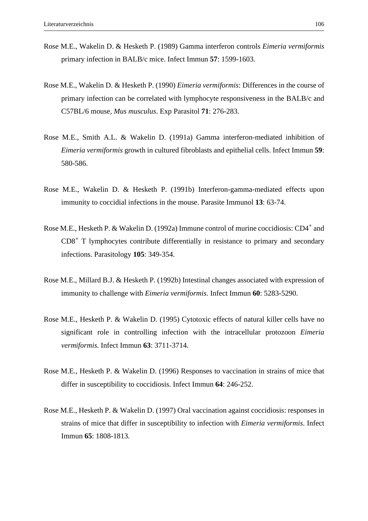- Rose M.E., Wakelin D. & Hesketh P. (1989) Gamma interferon controls *Eimeria vermiformis* primary infection in BALB/c mice. Infect Immun **57**: 1599-1603.
- Rose M.E., Wakelin D. & Hesketh P. (1990) *Eimeria vermiformis*: Differences in the course of primary infection can be correlated with lymphocyte responsiveness in the BALB/c and C57BL/6 mouse, *Mus musculus*. Exp Parasitol **71**: 276-283.
- Rose M.E., Smith A.L. & Wakelin D. (1991a) Gamma interferon-mediated inhibition of *Eimeria vermiformis* growth in cultured fibroblasts and epithelial cells. Infect Immun **59**: 580-586.
- Rose M.E., Wakelin D. & Hesketh P. (1991b) Interferon-gamma-mediated effects upon immunity to coccidial infections in the mouse. Parasite Immunol **13**: 63-74.
- Rose M.E., Hesketh P. & Wakelin D. (1992a) Immune control of murine coccidiosis: CD4<sup>+</sup> and  $CD8<sup>+</sup>$  T lymphocytes contribute differentially in resistance to primary and secondary infections. Parasitology **105**: 349-354.
- Rose M.E., Millard B.J. & Hesketh P. (1992b) Intestinal changes associated with expression of immunity to challenge with *Eimeria vermiformis*. Infect Immun **60**: 5283-5290.
- Rose M.E., Hesketh P. & Wakelin D. (1995) Cytotoxic effects of natural killer cells have no significant role in controlling infection with the intracellular protozoon *Eimeria vermiformis*. Infect Immun **63**: 3711-3714.
- Rose M.E., Hesketh P. & Wakelin D. (1996) Responses to vaccination in strains of mice that differ in susceptibility to coccidiosis. Infect Immun **64**: 246-252.
- Rose M.E., Hesketh P. & Wakelin D. (1997) Oral vaccination against coccidiosis: responses in strains of mice that differ in susceptibility to infection with *Eimeria vermiformis*. Infect Immun **65**: 1808-1813.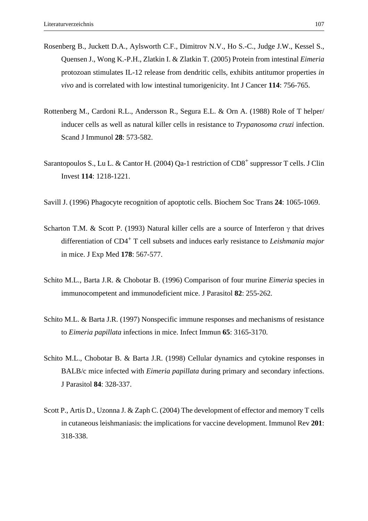- Rosenberg B., Juckett D.A., Aylsworth C.F., Dimitrov N.V., Ho S.-C., Judge J.W., Kessel S., Quensen J., Wong K.-P.H., Zlatkin I. & Zlatkin T. (2005) Protein from intestinal *Eimeria* protozoan stimulates IL-12 release from dendritic cells, exhibits antitumor properties *in vivo* and is correlated with low intestinal tumorigenicity. Int J Cancer **114**: 756-765.
- Rottenberg M., Cardoni R.L., Andersson R., Segura E.L. & Orn A. (1988) Role of T helper/ inducer cells as well as natural killer cells in resistance to *Trypanosoma cruzi* infection. Scand J Immunol **28**: 573-582.
- Sarantopoulos S., Lu L. & Cantor H. (2004) Qa-1 restriction of  $CD8<sup>+</sup>$  suppressor T cells. J Clin Invest **114**: 1218-1221.
- Savill J. (1996) Phagocyte recognition of apoptotic cells. Biochem Soc Trans **24**: 1065-1069.
- Scharton T.M. & Scott P. (1993) Natural killer cells are a source of Interferon γ that drives differentiation of CD4+ T cell subsets and induces early resistance to *Leishmania major* in mice. J Exp Med **178**: 567-577.
- Schito M.L., Barta J.R. & Chobotar B. (1996) Comparison of four murine *Eimeria* species in immunocompetent and immunodeficient mice. J Parasitol **82**: 255-262.
- Schito M.L. & Barta J.R. (1997) Nonspecific immune responses and mechanisms of resistance to *Eimeria papillata* infections in mice. Infect Immun **65**: 3165-3170.
- Schito M.L., Chobotar B. & Barta J.R. (1998) Cellular dynamics and cytokine responses in BALB/c mice infected with *Eimeria papillata* during primary and secondary infections. J Parasitol **84**: 328-337.
- Scott P., Artis D., Uzonna J. & Zaph C. (2004) The development of effector and memory T cells in cutaneous leishmaniasis: the implications for vaccine development. Immunol Rev **201**: 318-338.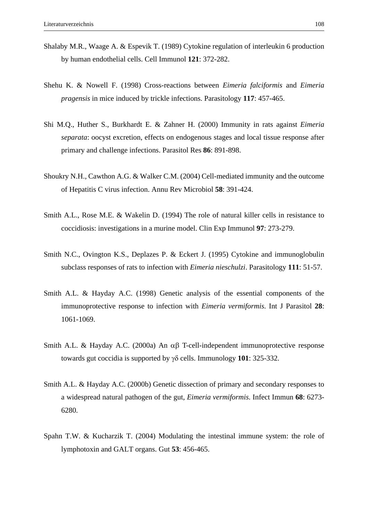- Shalaby M.R., Waage A. & Espevik T. (1989) Cytokine regulation of interleukin 6 production by human endothelial cells. Cell Immunol **121**: 372-282.
- Shehu K. & Nowell F. (1998) Cross-reactions between *Eimeria falciformis* and *Eimeria pragensis* in mice induced by trickle infections. Parasitology **117**: 457-465.
- Shi M.Q., Huther S., Burkhardt E. & Zahner H. (2000) Immunity in rats against *Eimeria separata*: oocyst excretion, effects on endogenous stages and local tissue response after primary and challenge infections. Parasitol Res **86**: 891-898.
- Shoukry N.H., Cawthon A.G. & Walker C.M. (2004) Cell-mediated immunity and the outcome of Hepatitis C virus infection. Annu Rev Microbiol **58**: 391-424.
- Smith A.L., Rose M.E. & Wakelin D. (1994) The role of natural killer cells in resistance to coccidiosis: investigations in a murine model. Clin Exp Immunol **97**: 273-279.
- Smith N.C., Ovington K.S., Deplazes P. & Eckert J. (1995) Cytokine and immunoglobulin subclass responses of rats to infection with *Eimeria nieschulzi*. Parasitology **111**: 51-57.
- Smith A.L. & Hayday A.C. (1998) Genetic analysis of the essential components of the immunoprotective response to infection with *Eimeria vermiformis*. Int J Parasitol **28**: 1061-1069.
- Smith A.L. & Hayday A.C. (2000a) An αβ T-cell-independent immunoprotective response towards gut coccidia is supported by γδ cells. Immunology **101**: 325-332.
- Smith A.L. & Hayday A.C. (2000b) Genetic dissection of primary and secondary responses to a widespread natural pathogen of the gut, *Eimeria vermiformis*. Infect Immun **68**: 6273- 6280.
- Spahn T.W. & Kucharzik T. (2004) Modulating the intestinal immune system: the role of lymphotoxin and GALT organs. Gut **53**: 456-465.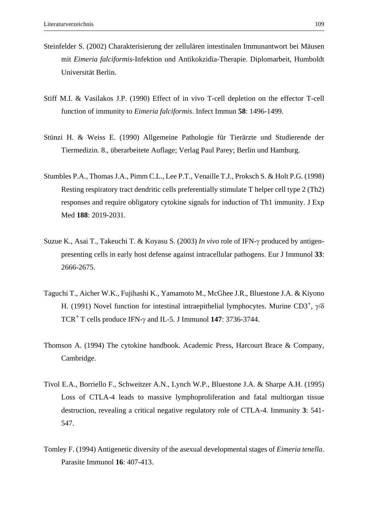- Steinfelder S. (2002) Charakterisierung der zellulären intestinalen Immunantwort bei Mäusen mit *Eimeria falciformis*-Infektion und Antikokzidia-Therapie. Diplomarbeit, Humboldt Universität Berlin.
- Stiff M.I. & Vasilakos J.P. (1990) Effect of in vivo T-cell depletion on the effector T-cell function of immunity to *Eimeria falciformis*. Infect Immun **58**: 1496-1499.
- Stünzi H. & Weiss E. (1990) Allgemeine Pathologie für Tierärzte und Studierende der Tiermedizin. 8., überarbeitete Auflage; Verlag Paul Parey; Berlin und Hamburg.
- Stumbles P.A., Thomas J.A., Pimm C.L., Lee P.T., Venaille T.J., Proksch S. & Holt P.G. (1998) Resting respiratory tract dendritic cells preferentially stimulate T helper cell type 2 (Th2) responses and require obligatory cytokine signals for induction of Th1 immunity. J Exp Med **188**: 2019-2031.
- Suzue K., Asai T., Takeuchi T. & Koyasu S. (2003) *In vivo* role of IFN-γ produced by antigenpresenting cells in early host defense against intracellular pathogens. Eur J Immunol **33**: 2666-2675.
- Taguchi T., Aicher W.K., Fujihashi K., Yamamoto M., McGhee J.R., Bluestone J.A. & Kiyono H. (1991) Novel function for intestinal intraepithelial lymphocytes. Murine CD3<sup>+</sup>,  $\gamma/\delta$ TCR+ T cells produce IFN-γ and IL-5. J Immunol **147**: 3736-3744.
- Thomson A. (1994) The cytokine handbook. Academic Press, Harcourt Brace & Company, Cambridge.
- Tivol E.A., Borriello F., Schweitzer A.N., Lynch W.P., Bluestone J.A. & Sharpe A.H. (1995) Loss of CTLA-4 leads to massive lymphoproliferation and fatal multiorgan tissue destruction, revealing a critical negative regulatory role of CTLA-4. Immunity **3**: 541- 547.
- Tomley F. (1994) Antigenetic diversity of the asexual developmental stages of *Eimeria tenella*. Parasite Immunol **16**: 407-413.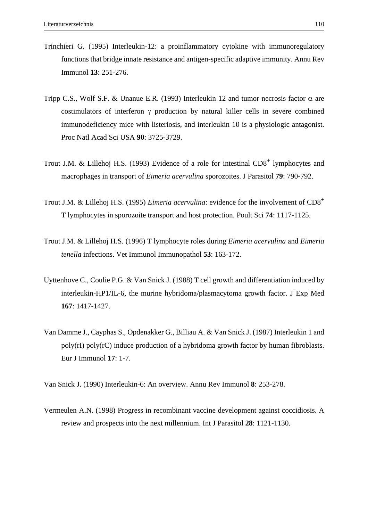- Trinchieri G. (1995) Interleukin-12: a proinflammatory cytokine with immunoregulatory functions that bridge innate resistance and antigen-specific adaptive immunity. Annu Rev Immunol **13**: 251-276.
- Tripp C.S., Wolf S.F. & Unanue E.R. (1993) Interleukin 12 and tumor necrosis factor  $\alpha$  are costimulators of interferon γ production by natural killer cells in severe combined immunodeficiency mice with listeriosis, and interleukin 10 is a physiologic antagonist. Proc Natl Acad Sci USA **90**: 3725-3729.
- Trout J.M. & Lillehoj H.S. (1993) Evidence of a role for intestinal  $CD8<sup>+</sup>$  lymphocytes and macrophages in transport of *Eimeria acervulina* sporozoites. J Parasitol **79**: 790-792.
- Trout J.M. & Lillehoj H.S. (1995) *Eimeria acervulina*: evidence for the involvement of CD8+ T lymphocytes in sporozoite transport and host protection. Poult Sci **74**: 1117-1125.
- Trout J.M. & Lillehoj H.S. (1996) T lymphocyte roles during *Eimeria acervulina* and *Eimeria tenella* infections. Vet Immunol Immunopathol **53**: 163-172.
- Uyttenhove C., Coulie P.G. & Van Snick J. (1988) T cell growth and differentiation induced by interleukin-HP1/IL-6, the murine hybridoma/plasmacytoma growth factor. J Exp Med **167**: 1417-1427.
- Van Damme J., Cayphas S., Opdenakker G., Billiau A. & Van Snick J. (1987) Interleukin 1 and poly(rI) poly(rC) induce production of a hybridoma growth factor by human fibroblasts. Eur J Immunol **17**: 1-7.

Van Snick J. (1990) Interleukin-6: An overview. Annu Rev Immunol **8**: 253-278.

Vermeulen A.N. (1998) Progress in recombinant vaccine development against coccidiosis. A review and prospects into the next millennium. Int J Parasitol **28**: 1121-1130.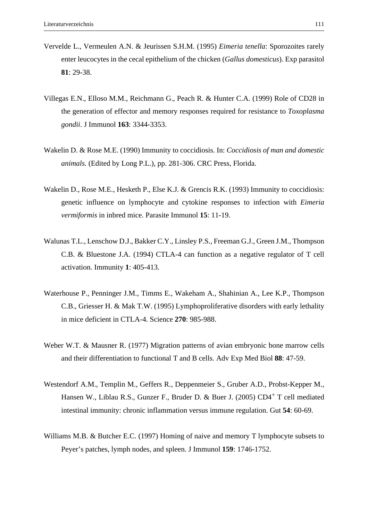- Vervelde L., Vermeulen A.N. & Jeurissen S.H.M. (1995) *Eimeria tenella*: Sporozoites rarely enter leucocytes in the cecal epithelium of the chicken (*Gallus domesticus*). Exp parasitol **81**: 29-38.
- Villegas E.N., Elloso M.M., Reichmann G., Peach R. & Hunter C.A. (1999) Role of CD28 in the generation of effector and memory responses required for resistance to *Toxoplasma gondii*. J Immunol **163**: 3344-3353.
- Wakelin D. & Rose M.E. (1990) Immunity to coccidiosis. In: *Coccidiosis of man and domestic animals.* (Edited by Long P.L.), pp. 281-306. CRC Press, Florida.
- Wakelin D., Rose M.E., Hesketh P., Else K.J. & Grencis R.K. (1993) Immunity to coccidiosis: genetic influence on lymphocyte and cytokine responses to infection with *Eimeria vermiformis* in inbred mice. Parasite Immunol **15**: 11-19.
- Walunas T.L., Lenschow D.J., Bakker C.Y., Linsley P.S., Freeman G.J., Green J.M., Thompson C.B. & Bluestone J.A. (1994) CTLA-4 can function as a negative regulator of T cell activation. Immunity **1**: 405-413.
- Waterhouse P., Penninger J.M., Timms E., Wakeham A., Shahinian A., Lee K.P., Thompson C.B., Griesser H. & Mak T.W. (1995) Lymphoproliferative disorders with early lethality in mice deficient in CTLA-4. Science **270**: 985-988.
- Weber W.T. & Mausner R. (1977) Migration patterns of avian embryonic bone marrow cells and their differentiation to functional T and B cells. Adv Exp Med Biol **88**: 47-59.
- Westendorf A.M., Templin M., Geffers R., Deppenmeier S., Gruber A.D., Probst-Kepper M., Hansen W., Liblau R.S., Gunzer F., Bruder D. & Buer J. (2005) CD4+ T cell mediated intestinal immunity: chronic inflammation versus immune regulation. Gut **54**: 60-69.
- Williams M.B. & Butcher E.C. (1997) Homing of naive and memory T lymphocyte subsets to Peyer's patches, lymph nodes, and spleen. J Immunol **159**: 1746-1752.